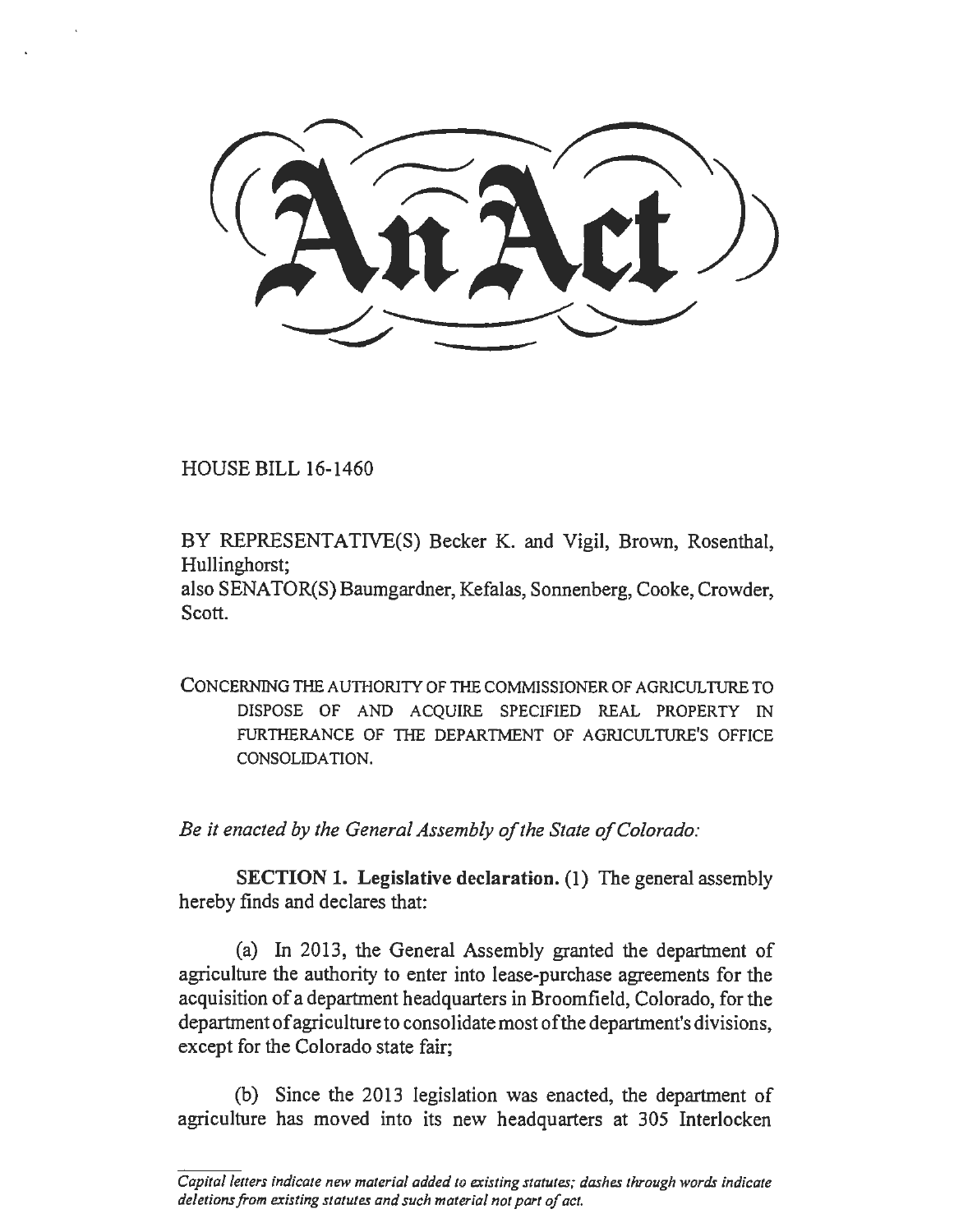HOUSE BILL 16-1460

BY REPRESENTATIVE(S) Becker K. and Vigil, Brown, Rosenthal, Hullinghorst;

also SENATOR(S) Baumgardner, Kefalas, Sonnenberg, Cooke, Crowder, Scott.

CONCERNING THE AUTIIORITY OF THE COMMISSIONER OF AGRICULTURE TO DISPOSE OF AND ACQUIRE SPECIFIED REAL PROPERTY IN FURTHERANCE OF THE DEPARTMENT OF AGRICULTURE'S OFFICE CONSOLIDATION.

*Be it enacted by the General Assembly of the State of Colorado:* 

SECTION 1. Legislative declaration. (1) The general assembly hereby fmds and declares that:

(a) In 2013, the General Assembly granted the department of agriculture the authority to enter into lease-purchase agreements for the acquisition of a department headquarters in Broomfield, Colorado, for the department of agriculture to consolidate most of the department's divisions, except for the Colorado state fair;

(b) Since the 2013 legislation was enacted, the department of agriculture has moved into its new headquarters at 305 Interlocken

*Capita/letters indicate new material added to existing statutes; dashes through words indicate deletions from existing statutes and such material not part of act.*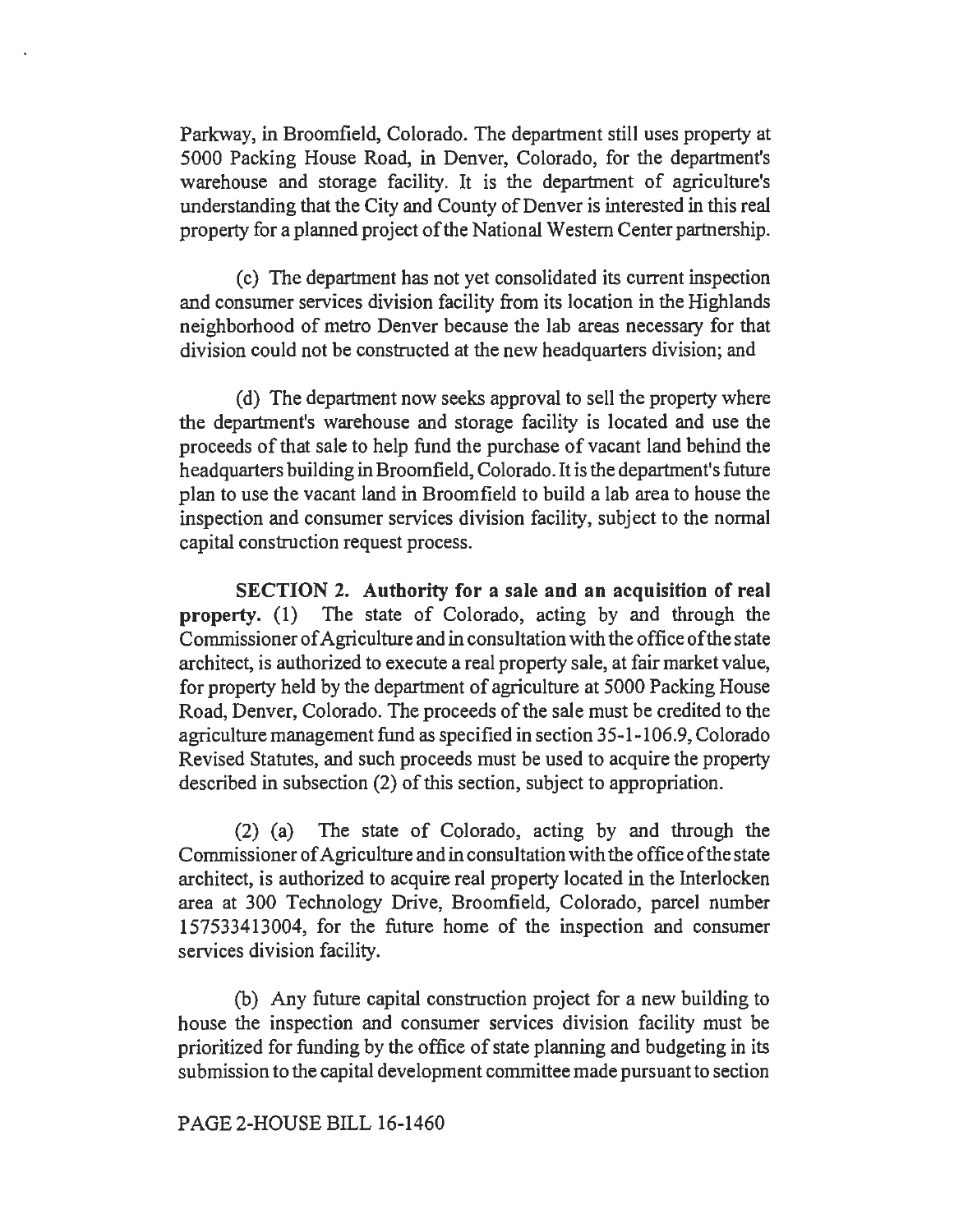Parkway, in Broomfield, Colorado. The department still uses property at 5000 Packing House Road, in Denver, Colorado, for the department's warehouse and storage facility. It is the department of agriculture's understanding that the City and County of Denver is interested in this real property for a planned project of the National Western Center partnership.

(c) The department has not yet consolidated its current inspection and consumer services division facility from its location in the Highlands neighborhood of metro Denver because the lab areas necessary for that division could not be constructed at the new headquarters division; and

(d) The department now seeks approval to sell the property where the department's warehouse and storage facility is located and use the proceeds of that sale to help fund the purchase of vacant land behind the headquarters building in Broomfield, Colorado. It is the department's future plan to use the vacant land in Broomfield to build a lab area to house the inspection and consumer services division facility, subject to the normal capital construction request process.

SECTION 2. Authority for a sale and an acquisition of real property. (1) The state of Colorado, acting by and through the Commissioner of Agriculture and in consultation with the office of the state architect, is authorized to execute a real property sale, at fair market value, for property held by the department of agriculture at 5000 Packing House Road, Denver, Colorado. The proceeds of the sale must be credited to the agriculture management fund as specified in section 35-1-106.9, Colorado Revised Statutes, and such proceeds must be used to acquire the property described in subsection (2) of this section, subject to appropriation.

(2) (a) The state of Colorado, acting by and through the Commissioner of Agriculture and in consultation with the office of the state architect, is authorized to acquire real property located in the Interlocken area at 300 Technology Drive, Broomfield, Colorado, parcel number 157533413004, for the future home of the inspection and consumer services division facility.

(b) Any future capital construction project for a new building to house the inspection and consumer services division facility must be prioritized for funding by the office of state planning and budgeting in its submission to the capital development committee made pursuant to section

## PAGE 2-HOUSE BILL 16-1460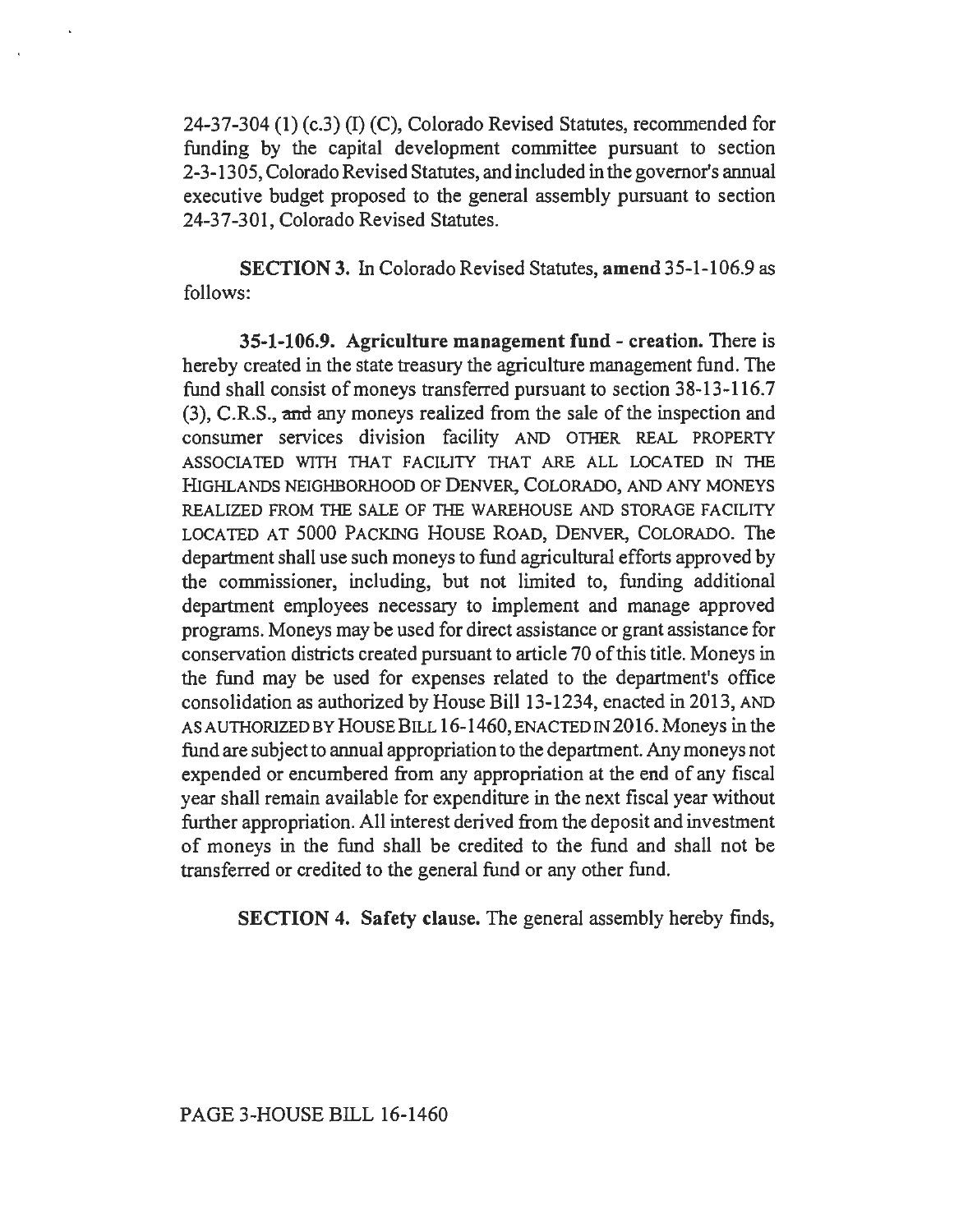24-37-304 (1) (c.3) (I) (C), Colorado Revised Statutes, recommended for funding by the capital development committee pursuant to section 2-3-1305, Colorado Revised Statutes, and included in the governor's annual executive budget proposed to the general assembly pursuant to section 24-37-301, Colorado Revised Statutes.

SECTION 3. In Colorado Revised Statutes, amend 35-1-106.9 as follows:

35-1-106.9. Agriculture management fund- creation. There is hereby created in the state treasury the agriculture management fund. The fund shall consist of moneys transferred pursuant to section 38-13-116.7 (3), C.R.S., and any moneys realized from the sale of the inspection and consumer services division facility AND OTHER REAL PROPERTY ASSOCIATED WITH THAT FACILITY THAT ARE ALL LOCATED IN THE HIGHLANDS NEIGHBORHOOD OF DENVER, COLORADO, AND ANY MONEYS REALIZED FROM THE SALE OF THE WAREHOUSE AND STORAGE FACILITY LOCATED AT 5000 PACKING HOUSE ROAD, DENVER, COLORADO. The department shall use such moneys to fund agricultural efforts approved by the commissioner, including, but not limited to, funding additional department employees necessary to implement and manage approved programs. Moneys may be used for direct assistance or grant assistance for conservation districts created pursuant to article 70 of this title. Moneys in the fund may be used for expenses related to the department's office consolidation as authorized by House Bill 13-1234, enacted in 2013, AND AS AUTHORIZED BY HOUSE BILL 16-1460, ENACTED IN 2016. Moneys in the fund are subject to annual appropriation to the department. Any moneys not expended or encumbered from any appropriation at the end of any fiscal year shall remain available for expenditure in the next fiscal year without further appropriation. All interest derived from the deposit and investment of moneys in the fund shall be credited to the fund and shall not be transferred or credited to the general fund or any other fund.

SECTION 4. Safety clause. The general assembly hereby fmds,